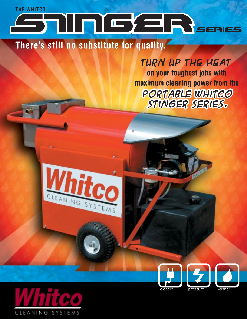## **THE WHITCO** FILTIC/ERSERES

There's still no substitute for quality.

Whitee

CLEANING SYSTEMS

TURN UP THE HEAT on your toughest jobs with maximum cleaning power from the PORTABLE WHITGO STINGER SERIES.